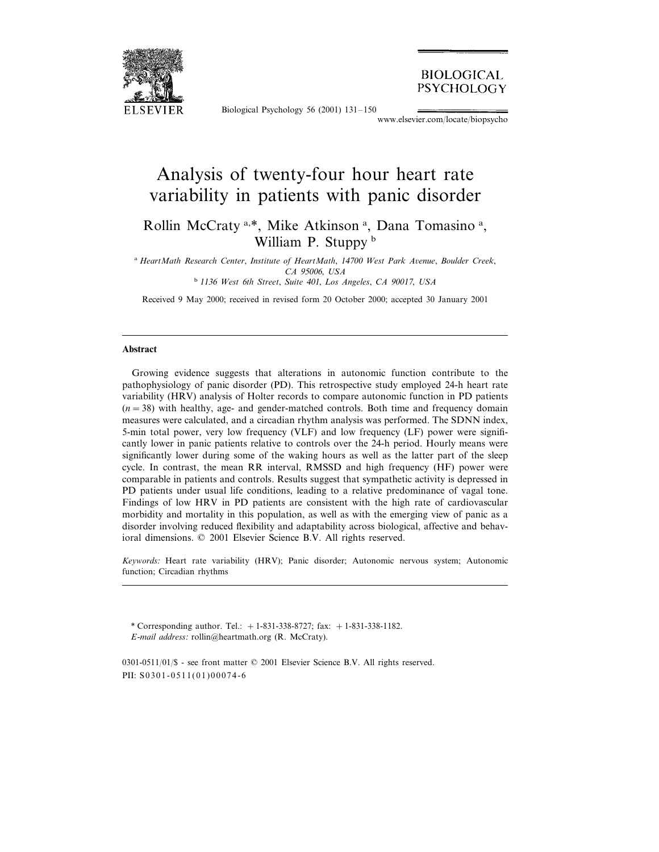

Biological Psychology 56 (2001) 131–150

**BIOLOGICAL** PSYCHOLOGY

www.elsevier.com/locate/biopsycho

# Analysis of twenty-four hour heart rate variability in patients with panic disorder

# Rollin McCraty<sup>a,\*</sup>, Mike Atkinson<sup>a</sup>, Dana Tomasino<sup>a</sup>, William P. Stuppy b

<sup>a</sup> *HeartMath Research Center*, *Institute of HeartMath*, <sup>14700</sup> *West Park Aenue*, *Boulder Creek*, *CA* 95006, *USA*

<sup>b</sup> <sup>1136</sup> *West* <sup>6</sup>*th Street*, *Suite* <sup>401</sup>, *Los Angeles*, *CA* <sup>90017</sup>, *USA*

Received 9 May 2000; received in revised form 20 October 2000; accepted 30 January 2001

#### **Abstract**

Growing evidence suggests that alterations in autonomic function contribute to the pathophysiology of panic disorder (PD). This retrospective study employed 24-h heart rate variability (HRV) analysis of Holter records to compare autonomic function in PD patients  $(n=38)$  with healthy, age- and gender-matched controls. Both time and frequency domain measures were calculated, and a circadian rhythm analysis was performed. The SDNN index, 5-min total power, very low frequency (VLF) and low frequency (LF) power were significantly lower in panic patients relative to controls over the 24-h period. Hourly means were significantly lower during some of the waking hours as well as the latter part of the sleep cycle. In contrast, the mean RR interval, RMSSD and high frequency (HF) power were comparable in patients and controls. Results suggest that sympathetic activity is depressed in PD patients under usual life conditions, leading to a relative predominance of vagal tone. Findings of low HRV in PD patients are consistent with the high rate of cardiovascular morbidity and mortality in this population, as well as with the emerging view of panic as a disorder involving reduced flexibility and adaptability across biological, affective and behavioral dimensions. © 2001 Elsevier Science B.V. All rights reserved.

*Keywords*: Heart rate variability (HRV); Panic disorder; Autonomic nervous system; Autonomic function; Circadian rhythms

\* Corresponding author. Tel.: +1-831-338-8727; fax: +1-831-338-1182. *E*-*mail address*: rollin@heartmath.org (R. McCraty).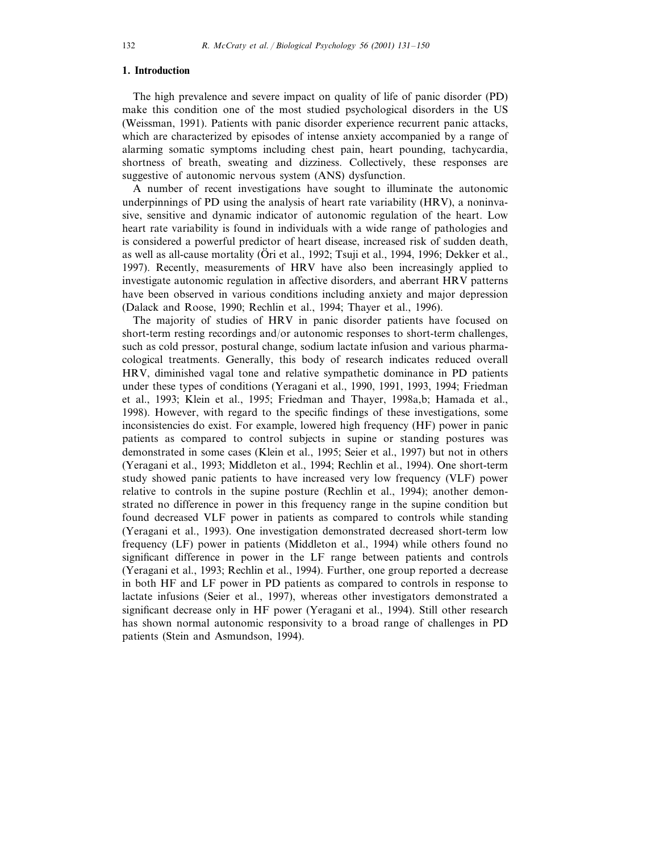# **1. Introduction**

The high prevalence and severe impact on quality of life of panic disorder (PD) make this condition one of the most studied psychological disorders in the US (Weissman, 1991). Patients with panic disorder experience recurrent panic attacks, which are characterized by episodes of intense anxiety accompanied by a range of alarming somatic symptoms including chest pain, heart pounding, tachycardia, shortness of breath, sweating and dizziness. Collectively, these responses are suggestive of autonomic nervous system (ANS) dysfunction.

A number of recent investigations have sought to illuminate the autonomic underpinnings of PD using the analysis of heart rate variability (HRV), a noninvasive, sensitive and dynamic indicator of autonomic regulation of the heart. Low heart rate variability is found in individuals with a wide range of pathologies and is considered a powerful predictor of heart disease, increased risk of sudden death, as well as all-cause mortality (Ori et al., 1992; Tsuji et al., 1994, 1996; Dekker et al., 1997). Recently, measurements of HRV have also been increasingly applied to investigate autonomic regulation in affective disorders, and aberrant HRV patterns have been observed in various conditions including anxiety and major depression (Dalack and Roose, 1990; Rechlin et al., 1994; Thayer et al., 1996).

The majority of studies of HRV in panic disorder patients have focused on short-term resting recordings and/or autonomic responses to short-term challenges, such as cold pressor, postural change, sodium lactate infusion and various pharmacological treatments. Generally, this body of research indicates reduced overall HRV, diminished vagal tone and relative sympathetic dominance in PD patients under these types of conditions (Yeragani et al., 1990, 1991, 1993, 1994; Friedman et al., 1993; Klein et al., 1995; Friedman and Thayer, 1998a,b; Hamada et al., 1998). However, with regard to the specific findings of these investigations, some inconsistencies do exist. For example, lowered high frequency (HF) power in panic patients as compared to control subjects in supine or standing postures was demonstrated in some cases (Klein et al., 1995; Seier et al., 1997) but not in others (Yeragani et al., 1993; Middleton et al., 1994; Rechlin et al., 1994). One short-term study showed panic patients to have increased very low frequency (VLF) power relative to controls in the supine posture (Rechlin et al., 1994); another demonstrated no difference in power in this frequency range in the supine condition but found decreased VLF power in patients as compared to controls while standing (Yeragani et al., 1993). One investigation demonstrated decreased short-term low frequency (LF) power in patients (Middleton et al., 1994) while others found no significant difference in power in the LF range between patients and controls (Yeragani et al., 1993; Rechlin et al., 1994). Further, one group reported a decrease in both HF and LF power in PD patients as compared to controls in response to lactate infusions (Seier et al., 1997), whereas other investigators demonstrated a significant decrease only in HF power (Yeragani et al., 1994). Still other research has shown normal autonomic responsivity to a broad range of challenges in PD patients (Stein and Asmundson, 1994).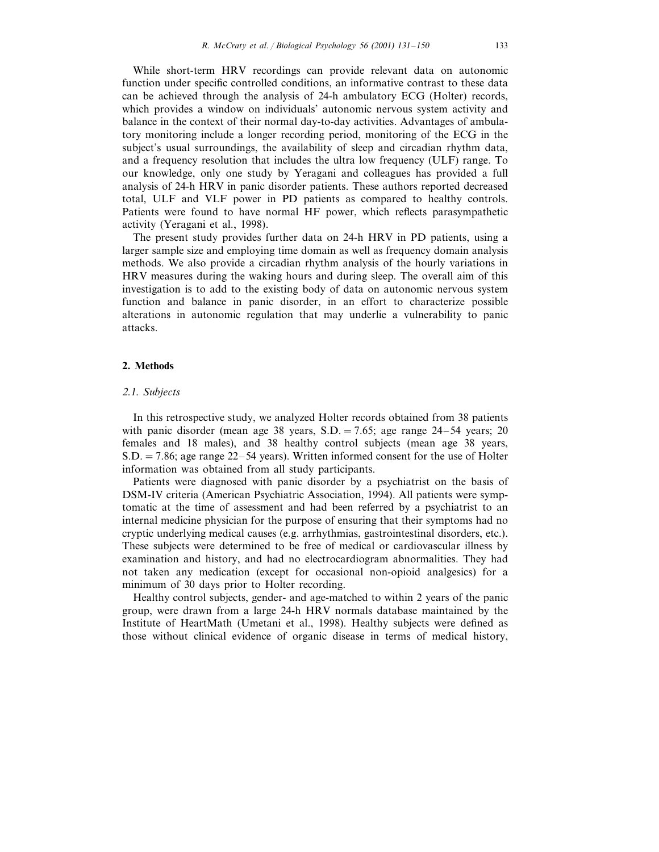While short-term HRV recordings can provide relevant data on autonomic function under specific controlled conditions, an informative contrast to these data can be achieved through the analysis of 24-h ambulatory ECG (Holter) records, which provides a window on individuals' autonomic nervous system activity and balance in the context of their normal day-to-day activities. Advantages of ambulatory monitoring include a longer recording period, monitoring of the ECG in the subject's usual surroundings, the availability of sleep and circadian rhythm data, and a frequency resolution that includes the ultra low frequency (ULF) range. To our knowledge, only one study by Yeragani and colleagues has provided a full analysis of 24-h HRV in panic disorder patients. These authors reported decreased total, ULF and VLF power in PD patients as compared to healthy controls. Patients were found to have normal HF power, which reflects parasympathetic activity (Yeragani et al., 1998).

The present study provides further data on 24-h HRV in PD patients, using a larger sample size and employing time domain as well as frequency domain analysis methods. We also provide a circadian rhythm analysis of the hourly variations in HRV measures during the waking hours and during sleep. The overall aim of this investigation is to add to the existing body of data on autonomic nervous system function and balance in panic disorder, in an effort to characterize possible alterations in autonomic regulation that may underlie a vulnerability to panic attacks.

# **2. Methods**

#### <sup>2</sup>.1. *Subjects*

In this retrospective study, we analyzed Holter records obtained from 38 patients with panic disorder (mean age 38 years,  $S.D. = 7.65$ ; age range 24–54 years; 20 females and 18 males), and 38 healthy control subjects (mean age 38 years, S.D.=7.86; age range 22–54 years). Written informed consent for the use of Holter information was obtained from all study participants.

Patients were diagnosed with panic disorder by a psychiatrist on the basis of DSM-IV criteria (American Psychiatric Association, 1994). All patients were symptomatic at the time of assessment and had been referred by a psychiatrist to an internal medicine physician for the purpose of ensuring that their symptoms had no cryptic underlying medical causes (e.g. arrhythmias, gastrointestinal disorders, etc.). These subjects were determined to be free of medical or cardiovascular illness by examination and history, and had no electrocardiogram abnormalities. They had not taken any medication (except for occasional non-opioid analgesics) for a minimum of 30 days prior to Holter recording.

Healthy control subjects, gender- and age-matched to within 2 years of the panic group, were drawn from a large 24-h HRV normals database maintained by the Institute of HeartMath (Umetani et al., 1998). Healthy subjects were defined as those without clinical evidence of organic disease in terms of medical history,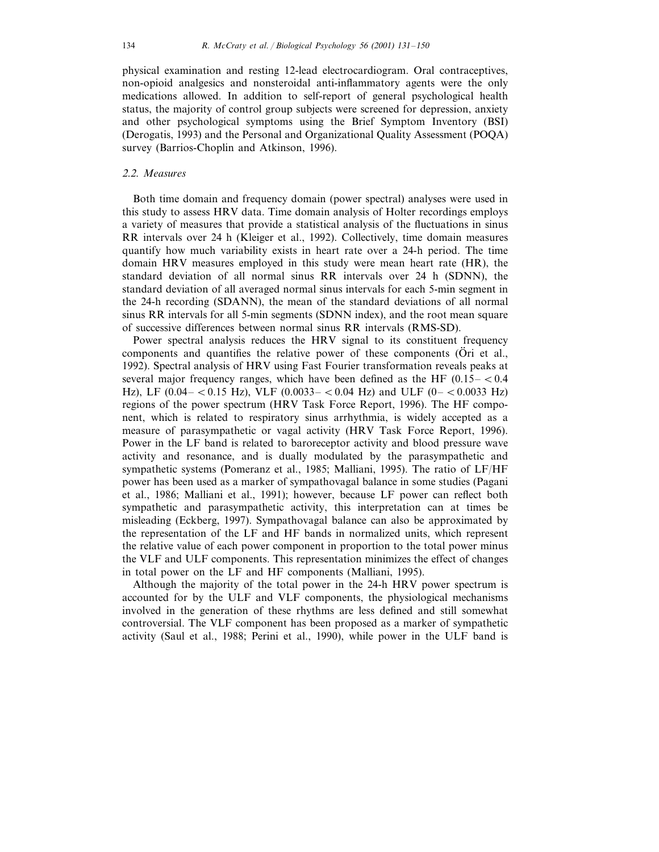physical examination and resting 12-lead electrocardiogram. Oral contraceptives, non-opioid analgesics and nonsteroidal anti-inflammatory agents were the only medications allowed. In addition to self-report of general psychological health status, the majority of control group subjects were screened for depression, anxiety and other psychological symptoms using the Brief Symptom Inventory (BSI) (Derogatis, 1993) and the Personal and Organizational Quality Assessment (POQA) survey (Barrios-Choplin and Atkinson, 1996).

# <sup>2</sup>.2. *Measures*

Both time domain and frequency domain (power spectral) analyses were used in this study to assess HRV data. Time domain analysis of Holter recordings employs a variety of measures that provide a statistical analysis of the fluctuations in sinus RR intervals over 24 h (Kleiger et al., 1992). Collectively, time domain measures quantify how much variability exists in heart rate over a 24-h period. The time domain HRV measures employed in this study were mean heart rate (HR), the standard deviation of all normal sinus RR intervals over 24 h (SDNN), the standard deviation of all averaged normal sinus intervals for each 5-min segment in the 24-h recording (SDANN), the mean of the standard deviations of all normal sinus RR intervals for all 5-min segments (SDNN index), and the root mean square of successive differences between normal sinus RR intervals (RMS-SD).

Power spectral analysis reduces the HRV signal to its constituent frequency components and quantifies the relative power of these components (Ori et al., 1992). Spectral analysis of HRV using Fast Fourier transformation reveals peaks at several major frequency ranges, which have been defined as the HF  $(0.15 -  $0.4$$ Hz), LF (0.04 – < 0.15 Hz), VLF (0.0033 – < 0.04 Hz) and ULF (0– < 0.0033 Hz) regions of the power spectrum (HRV Task Force Report, 1996). The HF component, which is related to respiratory sinus arrhythmia, is widely accepted as a measure of parasympathetic or vagal activity (HRV Task Force Report, 1996). Power in the LF band is related to baroreceptor activity and blood pressure wave activity and resonance, and is dually modulated by the parasympathetic and sympathetic systems (Pomeranz et al., 1985; Malliani, 1995). The ratio of LF/HF power has been used as a marker of sympathovagal balance in some studies (Pagani et al., 1986; Malliani et al., 1991); however, because LF power can reflect both sympathetic and parasympathetic activity, this interpretation can at times be misleading (Eckberg, 1997). Sympathovagal balance can also be approximated by the representation of the LF and HF bands in normalized units, which represent the relative value of each power component in proportion to the total power minus the VLF and ULF components. This representation minimizes the effect of changes in total power on the LF and HF components (Malliani, 1995).

Although the majority of the total power in the 24-h HRV power spectrum is accounted for by the ULF and VLF components, the physiological mechanisms involved in the generation of these rhythms are less defined and still somewhat controversial. The VLF component has been proposed as a marker of sympathetic activity (Saul et al., 1988; Perini et al., 1990), while power in the ULF band is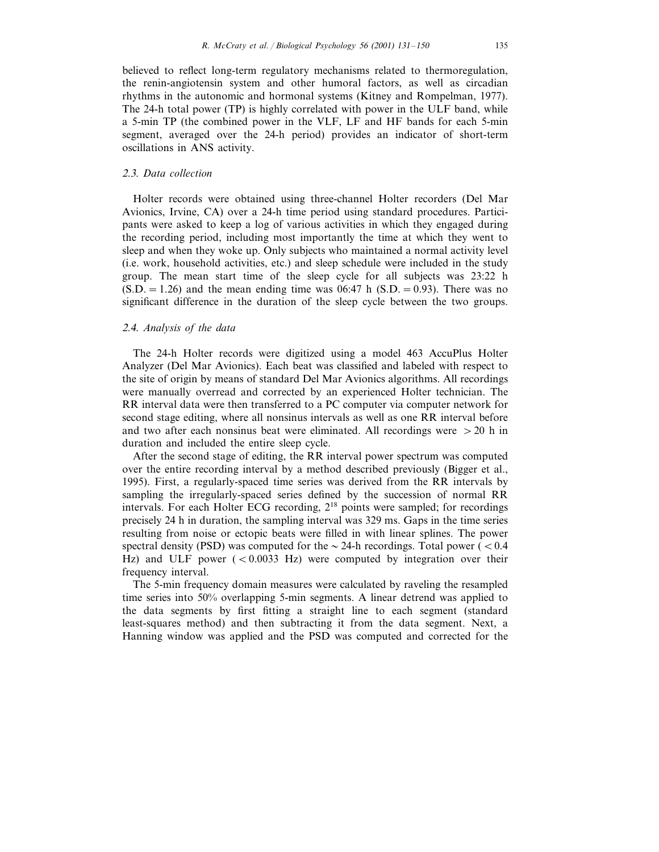believed to reflect long-term regulatory mechanisms related to thermoregulation, the renin-angiotensin system and other humoral factors, as well as circadian rhythms in the autonomic and hormonal systems (Kitney and Rompelman, 1977). The 24-h total power (TP) is highly correlated with power in the ULF band, while a 5-min TP (the combined power in the VLF, LF and HF bands for each 5-min segment, averaged over the 24-h period) provides an indicator of short-term oscillations in ANS activity.

#### <sup>2</sup>.3. *Data collection*

Holter records were obtained using three-channel Holter recorders (Del Mar Avionics, Irvine, CA) over a 24-h time period using standard procedures. Participants were asked to keep a log of various activities in which they engaged during the recording period, including most importantly the time at which they went to sleep and when they woke up. Only subjects who maintained a normal activity level (i.e. work, household activities, etc.) and sleep schedule were included in the study group. The mean start time of the sleep cycle for all subjects was 23:22 h  $(S.D. = 1.26)$  and the mean ending time was 06:47 h  $(S.D. = 0.93)$ . There was no significant difference in the duration of the sleep cycle between the two groups.

#### <sup>2</sup>.4. *Analysis of the data*

The 24-h Holter records were digitized using a model 463 AccuPlus Holter Analyzer (Del Mar Avionics). Each beat was classified and labeled with respect to the site of origin by means of standard Del Mar Avionics algorithms. All recordings were manually overread and corrected by an experienced Holter technician. The RR interval data were then transferred to a PC computer via computer network for second stage editing, where all nonsinus intervals as well as one RR interval before and two after each nonsinus beat were eliminated. All recordings were  $>20$  h in duration and included the entire sleep cycle.

After the second stage of editing, the RR interval power spectrum was computed over the entire recording interval by a method described previously (Bigger et al., 1995). First, a regularly-spaced time series was derived from the RR intervals by sampling the irregularly-spaced series defined by the succession of normal RR intervals. For each Holter ECG recording, 2<sup>18</sup> points were sampled; for recordings precisely 24 h in duration, the sampling interval was 329 ms. Gaps in the time series resulting from noise or ectopic beats were filled in with linear splines. The power spectral density (PSD) was computed for the  $\sim$  24-h recordings. Total power ( $< 0.4$ ) Hz) and ULF power  $( $0.0033$  Hz) were computed by integration over their$ frequency interval.

The 5-min frequency domain measures were calculated by raveling the resampled time series into 50% overlapping 5-min segments. A linear detrend was applied to the data segments by first fitting a straight line to each segment (standard least-squares method) and then subtracting it from the data segment. Next, a Hanning window was applied and the PSD was computed and corrected for the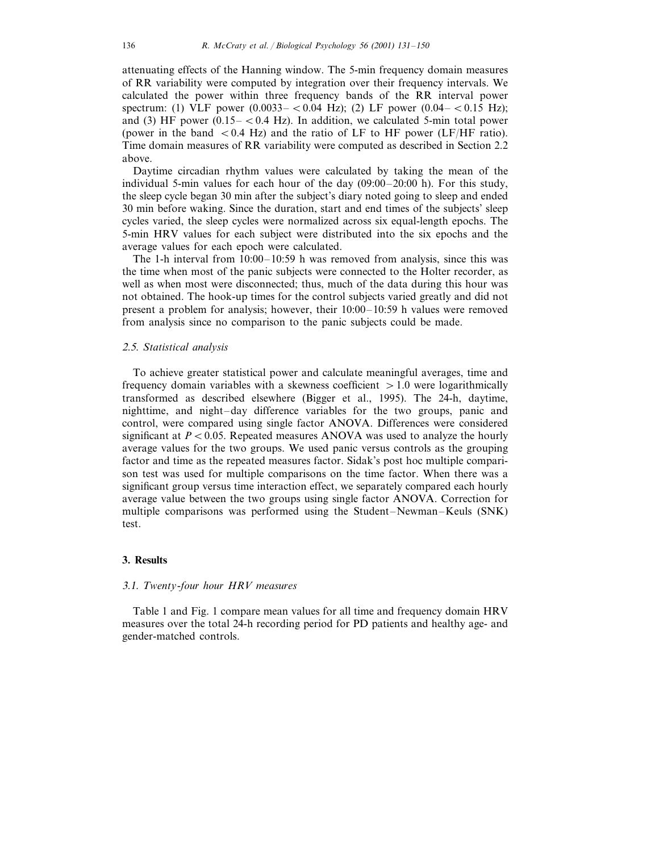attenuating effects of the Hanning window. The 5-min frequency domain measures of RR variability were computed by integration over their frequency intervals. We calculated the power within three frequency bands of the RR interval power spectrum: (1) VLF power  $(0.0033 - 0.04 \text{ Hz})$ ; (2) LF power  $(0.04 - 0.15 \text{ Hz})$ ; and (3) HF power  $(0.15 - < 0.4 \text{ Hz})$ . In addition, we calculated 5-min total power (power in the band  $< 0.4$  Hz) and the ratio of LF to HF power (LF/HF ratio). Time domain measures of RR variability were computed as described in Section 2.2 above.

Daytime circadian rhythm values were calculated by taking the mean of the individual 5-min values for each hour of the day (09:00–20:00 h). For this study, the sleep cycle began 30 min after the subject's diary noted going to sleep and ended 30 min before waking. Since the duration, start and end times of the subjects' sleep cycles varied, the sleep cycles were normalized across six equal-length epochs. The 5-min HRV values for each subject were distributed into the six epochs and the average values for each epoch were calculated.

The 1-h interval from 10:00–10:59 h was removed from analysis, since this was the time when most of the panic subjects were connected to the Holter recorder, as well as when most were disconnected; thus, much of the data during this hour was not obtained. The hook-up times for the control subjects varied greatly and did not present a problem for analysis; however, their 10:00–10:59 h values were removed from analysis since no comparison to the panic subjects could be made.

#### <sup>2</sup>.5. *Statistical analysis*

To achieve greater statistical power and calculate meaningful averages, time and frequency domain variables with a skewness coefficient  $> 1.0$  were logarithmically transformed as described elsewhere (Bigger et al., 1995). The 24-h, daytime, nighttime, and night–day difference variables for the two groups, panic and control, were compared using single factor ANOVA. Differences were considered significant at  $P < 0.05$ . Repeated measures ANOVA was used to analyze the hourly average values for the two groups. We used panic versus controls as the grouping factor and time as the repeated measures factor. Sidak's post hoc multiple comparison test was used for multiple comparisons on the time factor. When there was a significant group versus time interaction effect, we separately compared each hourly average value between the two groups using single factor ANOVA. Correction for multiple comparisons was performed using the Student–Newman–Keuls (SNK) test.

# **3. Results**

# 3.1. *Twenty*-*four hour HRV measures*

Table 1 and Fig. 1 compare mean values for all time and frequency domain HRV measures over the total 24-h recording period for PD patients and healthy age- and gender-matched controls.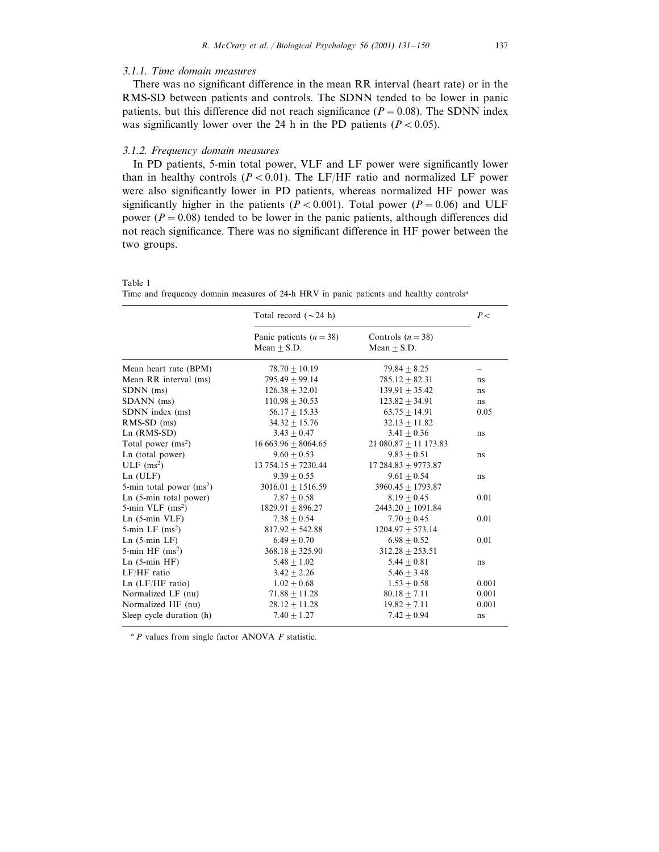# 3.1.1. *Time domain measures*

There was no significant difference in the mean RR interval (heart rate) or in the RMS-SD between patients and controls. The SDNN tended to be lower in panic patients, but this difference did not reach significance  $(P = 0.08)$ . The SDNN index was significantly lower over the 24 h in the PD patients  $(P<0.05)$ .

# 3.1.2. *Frequency domain measures*

In PD patients, 5-min total power, VLF and LF power were significantly lower than in healthy controls ( $P < 0.01$ ). The LF/HF ratio and normalized LF power were also significantly lower in PD patients, whereas normalized HF power was significantly higher in the patients ( $P < 0.001$ ). Total power ( $P = 0.06$ ) and ULF power  $(P = 0.08)$  tended to be lower in the panic patients, although differences did not reach significance. There was no significant difference in HF power between the two groups.

|                            | Total record ( $\sim$ 24 h)                |                                    |       |  |
|----------------------------|--------------------------------------------|------------------------------------|-------|--|
|                            | Panic patients $(n = 38)$<br>$Mean + S.D.$ | Controls $(n=38)$<br>$Mean + S.D.$ |       |  |
| Mean heart rate (BPM)      | $78.70 + 10.19$                            | $79.84 + 8.25$                     |       |  |
| Mean RR interval (ms)      | $795.49 + 99.14$                           | $785.12 + 82.31$                   | ns    |  |
| SDNN (ms)                  | $126.38 \pm 32.01$                         | $139.91 \pm 35.42$                 | ns    |  |
| SDANN (ms)                 | $110.98 \pm 30.53$                         | $123.82 + 34.91$                   | ns    |  |
| SDNN index (ms)            | $56.17 + 15.33$                            | $63.75 + 14.91$                    | 0.05  |  |
| $RMS-SD$ (ms)              | $34.32 \pm 15.76$                          | $32.13 + 11.82$                    |       |  |
| $Ln$ (RMS-SD)              | $3.43 + 0.47$                              | $3.41 + 0.36$                      | ns    |  |
| Total power $(ms^2)$       | $16663.96 \pm 8064.65$                     | 21 080.87 $\pm$ 11 173.83          |       |  |
| Ln (total power)           | $9.60 + 0.53$                              | $9.83 + 0.51$                      | ns    |  |
| $ULF$ (ms <sup>2</sup> )   | $13754.15 + 7230.44$                       | $17284.83 + 9773.87$               |       |  |
| $Ln$ ( $ULF$ )             | $9.39 + 0.55$                              | $9.61 + 0.54$                      | ns    |  |
| 5-min total power $(ms^2)$ | $3016.01 + 1516.59$                        | $3960.45 + 1793.87$                |       |  |
| Ln (5-min total power)     | $7.87 + 0.58$                              | $8.19 + 0.45$                      | 0.01  |  |
| 5-min VLF $(ms^2)$         | $1829.91 + 896.27$                         | $2443.20 + 1091.84$                |       |  |
| $Ln(5-min VLF)$            | $7.38 + 0.54$                              | $7.70 + 0.45$                      | 0.01  |  |
| 5-min LF $(ms^2)$          | $817.92 + 542.88$                          | $1204.97 + 573.14$                 |       |  |
| $Ln(5-min LF)$             | $6.49 + 0.70$                              | $6.98 + 0.52$                      | 0.01  |  |
| 5-min HF $(ms^2)$          | $368.18 + 325.90$                          | $312.28 + 253.51$                  |       |  |
| $Ln(5-min HF)$             | $5.48 + 1.02$                              | $5.44 + 0.81$                      | ns    |  |
| LF/HF ratio                | $3.42 \pm 2.26$                            | $5.46 \pm 3.48$                    |       |  |
| $Ln$ ( $LF/HF$ ratio)      | $1.02 + 0.68$                              | $1.53 + 0.58$                      | 0.001 |  |
| Normalized LF (nu)         | $71.88 \pm 11.28$                          | $80.18 \pm 7.11$                   | 0.001 |  |
| Normalized HF (nu)         | $28.12 \pm 11.28$                          | $19.82 \pm 7.11$                   | 0.001 |  |
| Sleep cycle duration (h)   | $7.40 + 1.27$                              | $7.42 + 0.94$                      | ns    |  |

Table 1 Time and frequency domain measures of 24-h HRV in panic patients and healthy controls<sup>a</sup>

<sup>a</sup> *P* values from single factor ANOVA *F* statistic.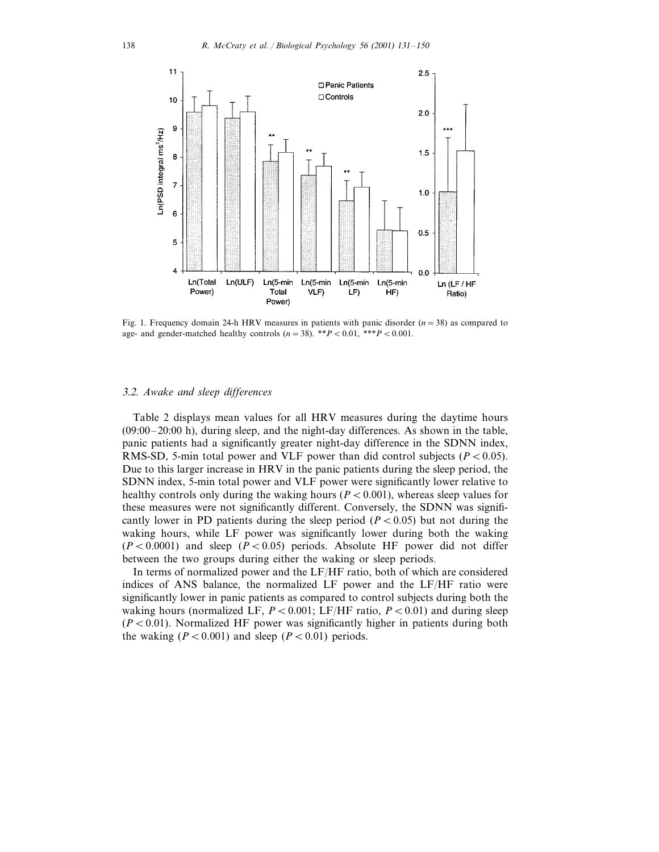

Fig. 1. Frequency domain 24-h HRV measures in patients with panic disorder (*n*=38) as compared to age- and gender-matched healthy controls  $(n=38)$ . \*\* $P < 0.01$ , \*\*\* $P < 0.001$ .

#### 3.2. *Awake and sleep differences*

Table 2 displays mean values for all HRV measures during the daytime hours (09:00–20:00 h), during sleep, and the night-day differences. As shown in the table, panic patients had a significantly greater night-day difference in the SDNN index, RMS-SD, 5-min total power and VLF power than did control subjects  $(P < 0.05)$ . Due to this larger increase in HRV in the panic patients during the sleep period, the SDNN index, 5-min total power and VLF power were significantly lower relative to healthy controls only during the waking hours ( $P<0.001$ ), whereas sleep values for these measures were not significantly different. Conversely, the SDNN was significantly lower in PD patients during the sleep period  $(P<0.05)$  but not during the waking hours, while LF power was significantly lower during both the waking  $(P<0.0001)$  and sleep  $(P<0.05)$  periods. Absolute HF power did not differ between the two groups during either the waking or sleep periods.

In terms of normalized power and the LF/HF ratio, both of which are considered indices of ANS balance, the normalized LF power and the LF/HF ratio were significantly lower in panic patients as compared to control subjects during both the waking hours (normalized LF,  $P < 0.001$ ; LF/HF ratio,  $P < 0.01$ ) and during sleep  $(P<0.01)$ . Normalized HF power was significantly higher in patients during both the waking  $(P < 0.001)$  and sleep  $(P < 0.01)$  periods.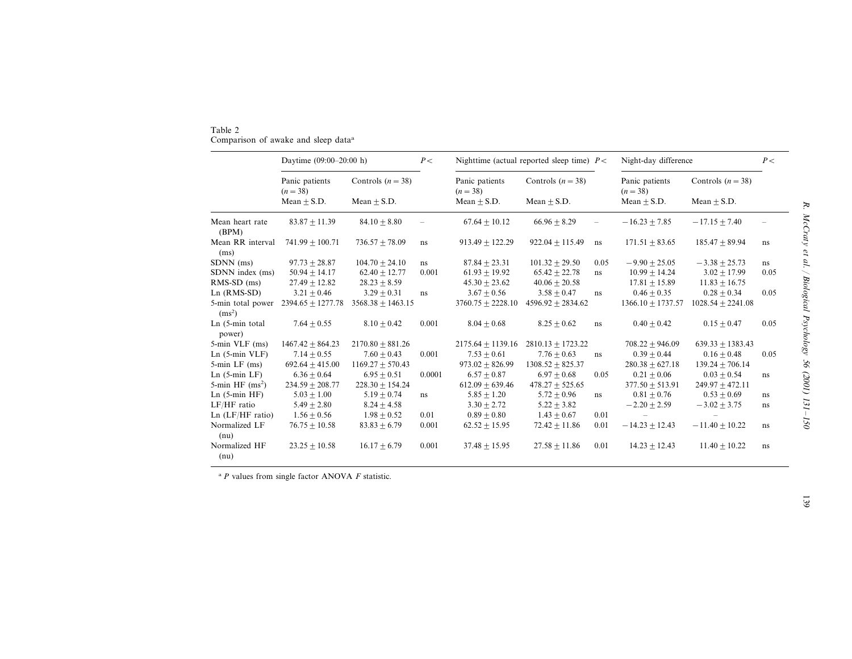| Table 2                                         |  |  |  |
|-------------------------------------------------|--|--|--|
| Comparison of awake and sleep data <sup>a</sup> |  |  |  |

|                                         | Daytime (09:00-20:00 h)      |                     | P<     |                              | Nighttime (actual reported sleep time) $P <$ |      | Night-day difference         |                     | P<       |
|-----------------------------------------|------------------------------|---------------------|--------|------------------------------|----------------------------------------------|------|------------------------------|---------------------|----------|
|                                         | Panic patients<br>$(n = 38)$ | Controls $(n = 38)$ |        | Panic patients<br>$(n = 38)$ | Controls $(n = 38)$                          |      | Panic patients<br>$(n = 38)$ | Controls $(n = 38)$ |          |
|                                         | $Mean + S.D.$                | $Mean + S.D.$       |        | $Mean + S.D.$                | $Mean + S.D.$                                |      | Mean $\pm$ S.D.              | $Mean + S.D.$       |          |
| Mean heart rate<br>(BPM)                | $83.87 + 11.39$              | $84.10 + 8.80$      |        | $67.64 + 10.12$              | $66.96 + 8.29$                               |      | $-16.23 + 7.85$              | $-17.15 + 7.40$     |          |
| Mean RR interval<br>(ms)                | $741.99 + 100.71$            | $736.57 + 78.09$    | ns     | $913.49 + 122.29$            | $922.04 + 115.49$                            | ns   | $171.51 + 83.65$             | $185.47 + 89.94$    | $\rm ns$ |
| SDNN (ms)                               | $97.73 + 28.87$              | $104.70 + 24.10$    | ns     | $87.84 + 23.31$              | $101.32 + 29.50$                             | 0.05 | $-9.90 + 25.05$              | $-3.38 + 25.73$     | $\rm ns$ |
| SDNN index (ms)                         | $50.94 + 14.17$              | $62.40 + 12.77$     | 0.001  | $61.93 + 19.92$              | $65.42 + 22.78$                              | ns   | $10.99 + 14.24$              | $3.02 + 17.99$      | 0.05     |
| $RMS-SD$ (ms)                           | $27.49 + 12.82$              | $28.23 + 8.59$      |        | $45.30 + 23.62$              | $40.06 + 20.58$                              |      | $17.81 + 15.89$              | $11.83 + 16.75$     |          |
| $Ln$ (RMS-SD)                           | $3.21 + 0.46$                | $3.29 \pm 0.31$     | ns     | $3.67 + 0.56$                | $3.58 + 0.47$                                | ns   | $0.46 + 0.35$                | $0.28 + 0.34$       | 0.05     |
| 5-min total power<br>(ms <sup>2</sup> ) | $2394.65 \pm 1277.78$        | $3568.38 + 1463.15$ |        | $3760.75 + 2228.10$          | $4596.92 + 2834.62$                          |      | $1366.10 + 1737.57$          | $1028.54 + 2241.08$ |          |
| Ln (5-min total<br>power)               | $7.64 + 0.55$                | $8.10 + 0.42$       | 0.001  | $8.04 + 0.68$                | $8.25 + 0.62$                                | ns   | $0.40 \pm 0.42$              | $0.15 + 0.47$       | 0.05     |
| 5-min VLF (ms)                          | $1467.42 + 864.23$           | $2170.80 + 881.26$  |        | $2175.64 + 1139.16$          | $2810.13 + 1723.22$                          |      | $708.22 + 946.09$            | $639.33 + 1383.43$  |          |
| $Ln(5-min VLF)$                         | $7.14 + 0.55$                | $7.60 + 0.43$       | 0.001  | $7.53 + 0.61$                | $7.76 + 0.63$                                | ns   | $0.39 + 0.44$                | $0.16 + 0.48$       | 0.05     |
| $5$ -min LF $(ms)$                      | $692.64 + 415.00$            | $1169.27 + 570.43$  |        | $973.02 + 826.99$            | $1308.52 + 825.37$                           |      | $280.38 + 627.18$            | $139.24 + 706.14$   |          |
| $Ln(5-min LF)$                          | $6.36 + 0.64$                | $6.95 + 0.51$       | 0.0001 | $6.57 + 0.87$                | $6.97 + 0.68$                                | 0.05 | $0.21 + 0.06$                | $0.03 + 0.54$       | ns       |
| 5-min HF $(ms^2)$                       | $234.59 + 208.77$            | $228.30 + 154.24$   |        | $612.09 + 639.46$            | $478.27 \pm 525.65$                          |      | $377.50 + 513.91$            | $249.97 + 472.11$   |          |
| $Ln(5-min HF)$                          | $5.03 + 1.00$                | $5.19 + 0.74$       | ns     | $5.85 \pm 1.20$              | $5.72 \pm 0.96$                              | ns   | $0.81 + 0.76$                | $0.53 + 0.69$       | ns       |
| LF/HF ratio                             | $5.49 + 2.80$                | $8.24 + 4.58$       |        | $3.30 + 2.72$                | $5.22 + 3.82$                                |      | $-2.20 + 2.59$               | $-3.02 + 3.75$      | ns       |
| $Ln$ ( $LF/HF$ ratio)                   | $1.56 + 0.56$                | $1.98 + 0.52$       | 0.01   | $0.89 + 0.80$                | $1.43 + 0.67$                                | 0.01 |                              |                     |          |
| Normalized LF<br>(nu)                   | $76.75 + 10.58$              | $83.83 + 6.79$      | 0.001  | $62.52 + 15.95$              | $72.42 + 11.86$                              | 0.01 | $-14.23 + 12.43$             | $-11.40 + 10.22$    | ns       |
| Normalized HF<br>(nu)                   | $23.25 + 10.58$              | $16.17 + 6.79$      | 0.001  | $37.48 + 15.95$              | $27.58 + 11.86$                              | 0.01 | $14.23 \pm 12.43$            | $11.40 + 10.22$     | $\rm ns$ |

a *P* values from single factor ANOVA *F* statistic.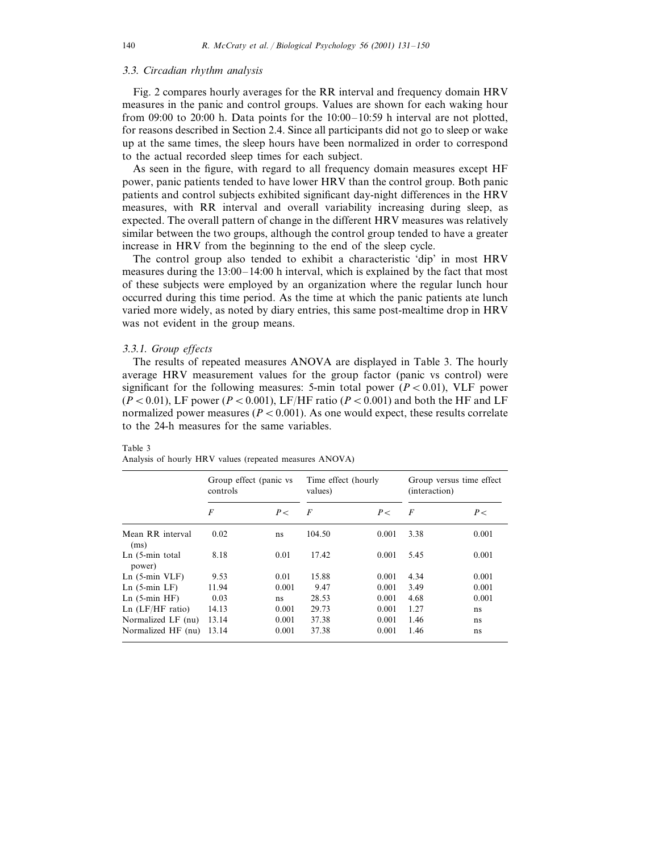# 3.3. *Circadian rhythm analysis*

Fig. 2 compares hourly averages for the RR interval and frequency domain HRV measures in the panic and control groups. Values are shown for each waking hour from 09:00 to 20:00 h. Data points for the  $10:00-10:59$  h interval are not plotted. for reasons described in Section 2.4. Since all participants did not go to sleep or wake up at the same times, the sleep hours have been normalized in order to correspond to the actual recorded sleep times for each subject.

As seen in the figure, with regard to all frequency domain measures except HF power, panic patients tended to have lower HRV than the control group. Both panic patients and control subjects exhibited significant day-night differences in the HRV measures, with RR interval and overall variability increasing during sleep, as expected. The overall pattern of change in the different HRV measures was relatively similar between the two groups, although the control group tended to have a greater increase in HRV from the beginning to the end of the sleep cycle.

The control group also tended to exhibit a characteristic 'dip' in most HRV measures during the 13:00–14:00 h interval, which is explained by the fact that most of these subjects were employed by an organization where the regular lunch hour occurred during this time period. As the time at which the panic patients ate lunch varied more widely, as noted by diary entries, this same post-mealtime drop in HRV was not evident in the group means.

#### 3.3.1. *Group effects*

The results of repeated measures ANOVA are displayed in Table 3. The hourly average HRV measurement values for the group factor (panic vs control) were significant for the following measures: 5-min total power  $(P<0.01)$ , VLF power  $(P<0.01)$ , LF power ( $P<0.001$ ), LF/HF ratio ( $P<0.001$ ) and both the HF and LF normalized power measures ( $P < 0.001$ ). As one would expect, these results correlate to the 24-h measures for the same variables.

# Table 3

|                             | Group effect (panic vs.<br>controls |       | Time effect (hourly<br>values) |           | Group versus time effect<br>(interaction) |       |
|-----------------------------|-------------------------------------|-------|--------------------------------|-----------|-------------------------------------------|-------|
|                             | $\overline{F}$                      | P<    | F                              | $P \lt C$ | $\boldsymbol{F}$                          | P<    |
| Mean RR interval<br>(ms)    | 0.02                                | ns    | 104.50                         | 0.001     | 3.38                                      | 0.001 |
| $Ln(5-min total)$<br>power) | 8.18                                | 0.01  | 17.42                          | 0.001     | 5.45                                      | 0.001 |
| $Ln(5-min VLF)$             | 9.53                                | 0.01  | 15.88                          | 0.001     | 4.34                                      | 0.001 |
| $Ln(5-min LF)$              | 11.94                               | 0.001 | 9.47                           | 0.001     | 3.49                                      | 0.001 |
| $Ln(5-min HF)$              | 0.03                                | ns    | 28.53                          | 0.001     | 4.68                                      | 0.001 |
| $Ln$ ( $LF/HF$ ratio)       | 14.13                               | 0.001 | 29.73                          | 0.001     | 1.27                                      | ns    |
| Normalized LF (nu)          | 13.14                               | 0.001 | 37.38                          | 0.001     | 1.46                                      | ns    |
| Normalized HF (nu)          | 13.14                               | 0.001 | 37.38                          | 0.001     | 1.46                                      | ns    |

Analysis of hourly HRV values (repeated measures ANOVA)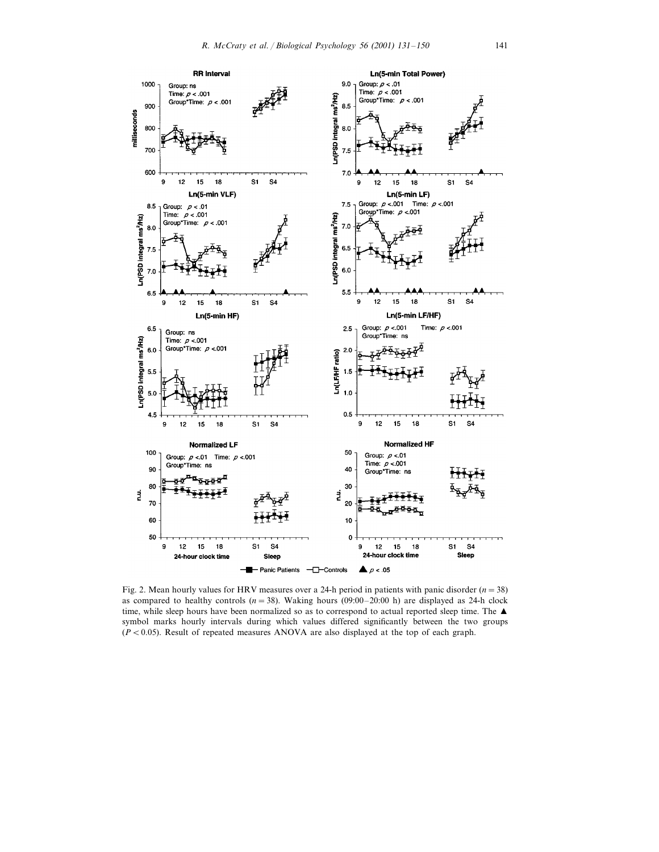

Fig. 2. Mean hourly values for HRV measures over a 24-h period in patients with panic disorder  $(n=38)$ as compared to healthy controls  $(n=38)$ . Waking hours  $(09:00-20:00)$  h) are displayed as 24-h clock time, while sleep hours have been normalized so as to correspond to actual reported sleep time. The  $\blacktriangle$ symbol marks hourly intervals during which values differed significantly between the two groups  $(P < 0.05)$ . Result of repeated measures ANOVA are also displayed at the top of each graph.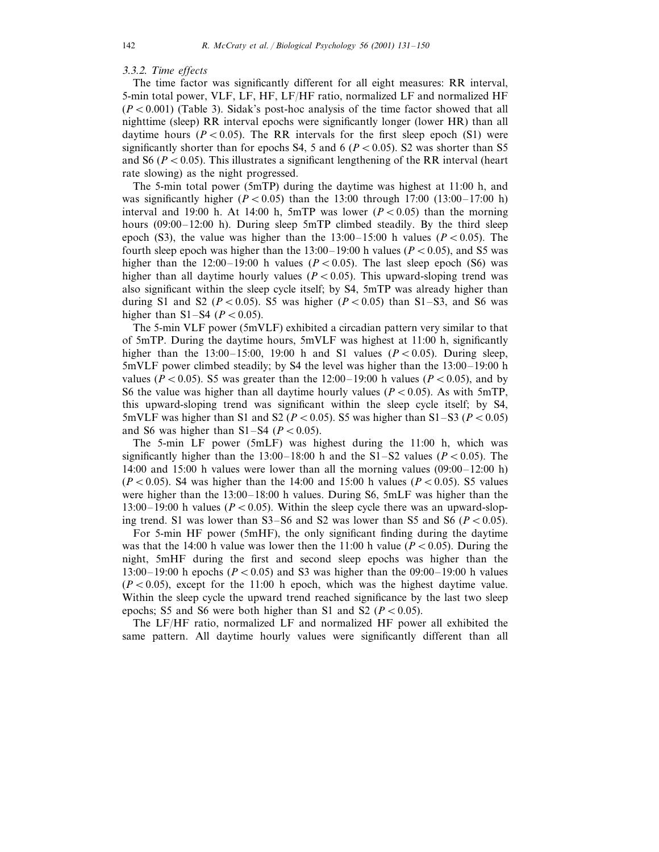# 3.3.2. *Time effects*

The time factor was significantly different for all eight measures: RR interval, 5-min total power, VLF, LF, HF, LF/HF ratio, normalized LF and normalized HF  $(P<0.001)$  (Table 3). Sidak's post-hoc analysis of the time factor showed that all nighttime (sleep) RR interval epochs were significantly longer (lower HR) than all daytime hours ( $P < 0.05$ ). The RR intervals for the first sleep epoch (S1) were significantly shorter than for epochs S4, 5 and 6 ( $P < 0.05$ ). S2 was shorter than S5 and S6 ( $P < 0.05$ ). This illustrates a significant lengthening of the RR interval (heart rate slowing) as the night progressed.

The 5-min total power (5mTP) during the daytime was highest at 11:00 h, and was significantly higher  $(P < 0.05)$  than the 13:00 through 17:00 (13:00–17:00 h) interval and 19:00 h. At 14:00 h, 5mTP was lower  $(P<0.05)$  than the morning hours (09:00–12:00 h). During sleep 5mTP climbed steadily. By the third sleep epoch (S3), the value was higher than the  $13:00-15:00$  h values ( $P<0.05$ ). The fourth sleep epoch was higher than the  $13:00-19:00$  h values ( $P < 0.05$ ), and S5 was higher than the  $12:00-19:00$  h values ( $P < 0.05$ ). The last sleep epoch (S6) was higher than all daytime hourly values  $(P<0.05)$ . This upward-sloping trend was also significant within the sleep cycle itself; by S4, 5mTP was already higher than during S1 and S2 ( $P < 0.05$ ). S5 was higher ( $P < 0.05$ ) than S1–S3, and S6 was higher than  $S1 - S4$  ( $P < 0.05$ ).

The 5-min VLF power (5mVLF) exhibited a circadian pattern very similar to that of 5mTP. During the daytime hours, 5mVLF was highest at 11:00 h, significantly higher than the 13:00–15:00, 19:00 h and S1 values ( $P < 0.05$ ). During sleep, 5mVLF power climbed steadily; by S4 the level was higher than the 13:00–19:00 h values ( $P < 0.05$ ). S5 was greater than the 12:00–19:00 h values ( $P < 0.05$ ), and by S6 the value was higher than all daytime hourly values  $(P < 0.05)$ . As with 5mTP, this upward-sloping trend was significant within the sleep cycle itself; by S4, 5mVLF was higher than S1 and S2 ( $P < 0.05$ ). S5 was higher than S1–S3 ( $P < 0.05$ ) and S6 was higher than  $S1-S4$  ( $P<0.05$ ).

The 5-min LF power (5mLF) was highest during the 11:00 h, which was significantly higher than the  $13:00-18:00$  h and the  $S1-S2$  values ( $P<0.05$ ). The 14:00 and 15:00 h values were lower than all the morning values (09:00–12:00 h)  $(P < 0.05)$ . S4 was higher than the 14:00 and 15:00 h values ( $P < 0.05$ ). S5 values were higher than the 13:00–18:00 h values. During S6, 5mLF was higher than the 13:00–19:00 h values ( $P < 0.05$ ). Within the sleep cycle there was an upward-sloping trend. S1 was lower than  $S3- S6$  and S2 was lower than S5 and S6 ( $P < 0.05$ ).

For 5-min HF power (5mHF), the only significant finding during the daytime was that the 14:00 h value was lower then the 11:00 h value ( $P < 0.05$ ). During the night, 5mHF during the first and second sleep epochs was higher than the 13:00–19:00 h epochs ( $P < 0.05$ ) and S3 was higher than the 09:00–19:00 h values  $(P < 0.05)$ , except for the 11:00 h epoch, which was the highest daytime value. Within the sleep cycle the upward trend reached significance by the last two sleep epochs; S5 and S6 were both higher than S1 and S2 ( $P < 0.05$ ).

The LF/HF ratio, normalized LF and normalized HF power all exhibited the same pattern. All daytime hourly values were significantly different than all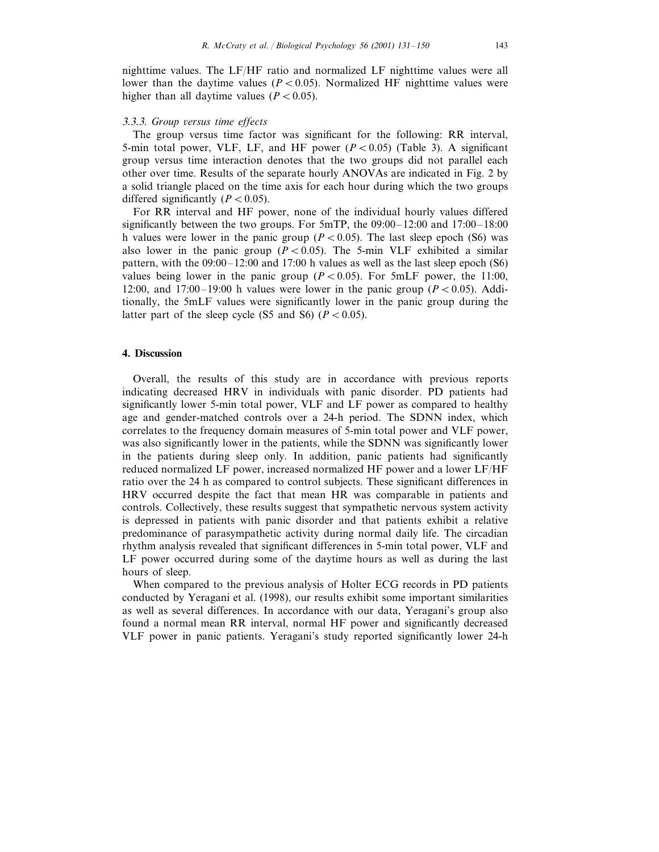nighttime values. The LF/HF ratio and normalized LF nighttime values were all lower than the daytime values ( $P < 0.05$ ). Normalized HF nighttime values were higher than all daytime values  $(P < 0.05)$ .

#### <sup>3</sup>.3.3. *Group ersus time effects*

The group versus time factor was significant for the following: RR interval, 5-min total power, VLF, LF, and HF power  $(P<0.05)$  (Table 3). A significant group versus time interaction denotes that the two groups did not parallel each other over time. Results of the separate hourly ANOVAs are indicated in Fig. 2 by a solid triangle placed on the time axis for each hour during which the two groups differed significantly  $(P<0.05)$ .

For RR interval and HF power, none of the individual hourly values differed significantly between the two groups. For 5mTP, the 09:00–12:00 and 17:00–18:00 h values were lower in the panic group ( $P < 0.05$ ). The last sleep epoch (S6) was also lower in the panic group  $(P< 0.05)$ . The 5-min VLF exhibited a similar pattern, with the  $09:00-12:00$  and 17:00 h values as well as the last sleep epoch (S6) values being lower in the panic group  $(P<0.05)$ . For 5mLF power, the 11:00, 12:00, and 17:00–19:00 h values were lower in the panic group  $(P<0.05)$ . Additionally, the 5mLF values were significantly lower in the panic group during the latter part of the sleep cycle (S5 and S6)  $(P < 0.05)$ .

#### **4. Discussion**

Overall, the results of this study are in accordance with previous reports indicating decreased HRV in individuals with panic disorder. PD patients had significantly lower 5-min total power, VLF and LF power as compared to healthy age and gender-matched controls over a 24-h period. The SDNN index, which correlates to the frequency domain measures of 5-min total power and VLF power, was also significantly lower in the patients, while the SDNN was significantly lower in the patients during sleep only. In addition, panic patients had significantly reduced normalized LF power, increased normalized HF power and a lower LF/HF ratio over the 24 h as compared to control subjects. These significant differences in HRV occurred despite the fact that mean HR was comparable in patients and controls. Collectively, these results suggest that sympathetic nervous system activity is depressed in patients with panic disorder and that patients exhibit a relative predominance of parasympathetic activity during normal daily life. The circadian rhythm analysis revealed that significant differences in 5-min total power, VLF and LF power occurred during some of the daytime hours as well as during the last hours of sleep.

When compared to the previous analysis of Holter ECG records in PD patients conducted by Yeragani et al. (1998), our results exhibit some important similarities as well as several differences. In accordance with our data, Yeragani's group also found a normal mean RR interval, normal HF power and significantly decreased VLF power in panic patients. Yeragani's study reported significantly lower 24-h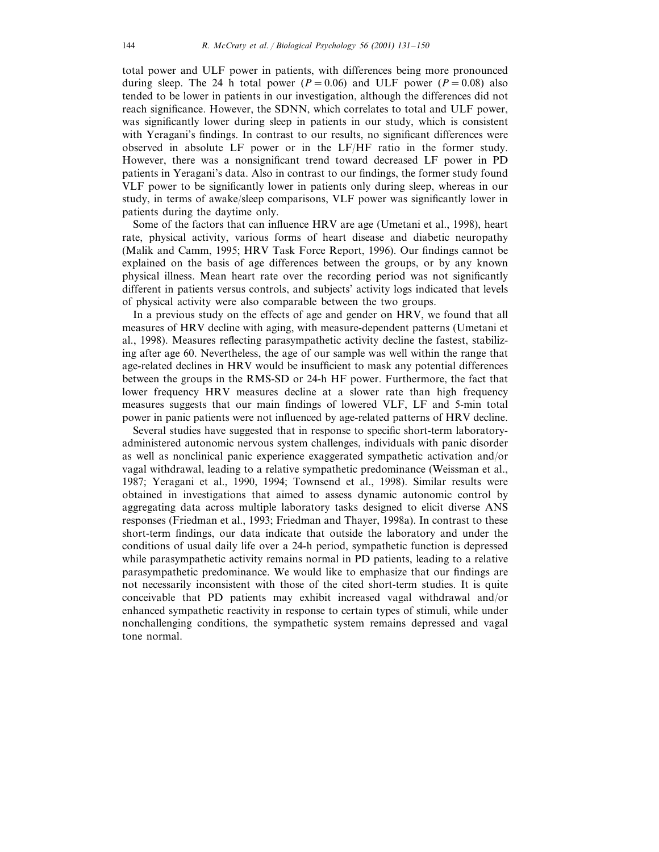total power and ULF power in patients, with differences being more pronounced during sleep. The 24 h total power  $(P = 0.06)$  and ULF power  $(P = 0.08)$  also tended to be lower in patients in our investigation, although the differences did not reach significance. However, the SDNN, which correlates to total and ULF power, was significantly lower during sleep in patients in our study, which is consistent with Yeragani's findings. In contrast to our results, no significant differences were observed in absolute LF power or in the LF/HF ratio in the former study. However, there was a nonsignificant trend toward decreased LF power in PD patients in Yeragani's data. Also in contrast to our findings, the former study found VLF power to be significantly lower in patients only during sleep, whereas in our study, in terms of awake/sleep comparisons, VLF power was significantly lower in patients during the daytime only.

Some of the factors that can influence HRV are age (Umetani et al., 1998), heart rate, physical activity, various forms of heart disease and diabetic neuropathy (Malik and Camm, 1995; HRV Task Force Report, 1996). Our findings cannot be explained on the basis of age differences between the groups, or by any known physical illness. Mean heart rate over the recording period was not significantly different in patients versus controls, and subjects' activity logs indicated that levels of physical activity were also comparable between the two groups.

In a previous study on the effects of age and gender on HRV, we found that all measures of HRV decline with aging, with measure-dependent patterns (Umetani et al., 1998). Measures reflecting parasympathetic activity decline the fastest, stabilizing after age 60. Nevertheless, the age of our sample was well within the range that age-related declines in HRV would be insufficient to mask any potential differences between the groups in the RMS-SD or 24-h HF power. Furthermore, the fact that lower frequency HRV measures decline at a slower rate than high frequency measures suggests that our main findings of lowered VLF, LF and 5-min total power in panic patients were not influenced by age-related patterns of HRV decline.

Several studies have suggested that in response to specific short-term laboratoryadministered autonomic nervous system challenges, individuals with panic disorder as well as nonclinical panic experience exaggerated sympathetic activation and/or vagal withdrawal, leading to a relative sympathetic predominance (Weissman et al., 1987; Yeragani et al., 1990, 1994; Townsend et al., 1998). Similar results were obtained in investigations that aimed to assess dynamic autonomic control by aggregating data across multiple laboratory tasks designed to elicit diverse ANS responses (Friedman et al., 1993; Friedman and Thayer, 1998a). In contrast to these short-term findings, our data indicate that outside the laboratory and under the conditions of usual daily life over a 24-h period, sympathetic function is depressed while parasympathetic activity remains normal in PD patients, leading to a relative parasympathetic predominance. We would like to emphasize that our findings are not necessarily inconsistent with those of the cited short-term studies. It is quite conceivable that PD patients may exhibit increased vagal withdrawal and/or enhanced sympathetic reactivity in response to certain types of stimuli, while under nonchallenging conditions, the sympathetic system remains depressed and vagal tone normal.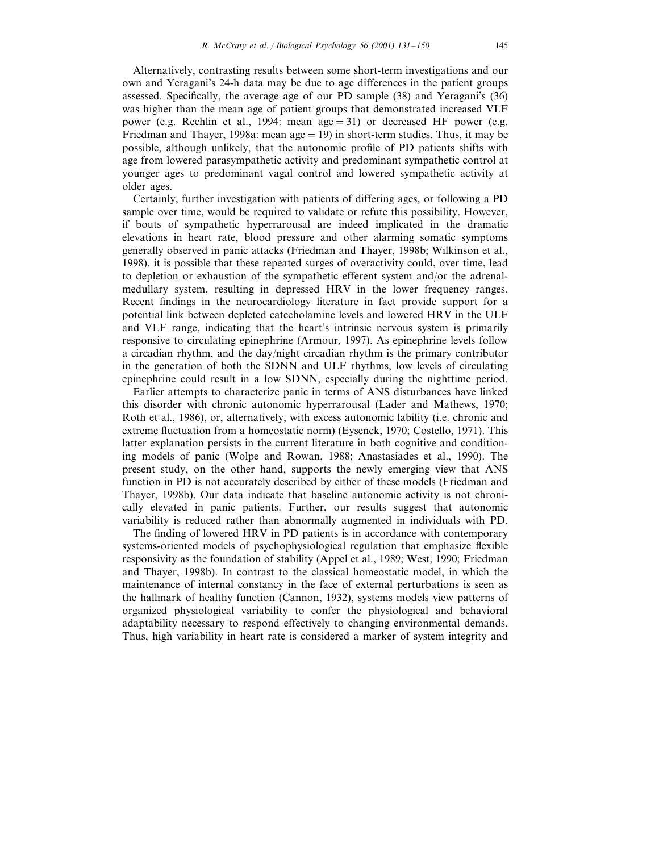Alternatively, contrasting results between some short-term investigations and our own and Yeragani's 24-h data may be due to age differences in the patient groups assessed. Specifically, the average age of our PD sample (38) and Yeragani's (36) was higher than the mean age of patient groups that demonstrated increased VLF power (e.g. Rechlin et al., 1994: mean  $age = 31$ ) or decreased HF power (e.g. Friedman and Thayer, 1998a: mean  $\text{age} = 19$ ) in short-term studies. Thus, it may be possible, although unlikely, that the autonomic profile of PD patients shifts with age from lowered parasympathetic activity and predominant sympathetic control at younger ages to predominant vagal control and lowered sympathetic activity at older ages.

Certainly, further investigation with patients of differing ages, or following a PD sample over time, would be required to validate or refute this possibility. However, if bouts of sympathetic hyperrarousal are indeed implicated in the dramatic elevations in heart rate, blood pressure and other alarming somatic symptoms generally observed in panic attacks (Friedman and Thayer, 1998b; Wilkinson et al., 1998), it is possible that these repeated surges of overactivity could, over time, lead to depletion or exhaustion of the sympathetic efferent system and/or the adrenalmedullary system, resulting in depressed HRV in the lower frequency ranges. Recent findings in the neurocardiology literature in fact provide support for a potential link between depleted catecholamine levels and lowered HRV in the ULF and VLF range, indicating that the heart's intrinsic nervous system is primarily responsive to circulating epinephrine (Armour, 1997). As epinephrine levels follow a circadian rhythm, and the day/night circadian rhythm is the primary contributor in the generation of both the SDNN and ULF rhythms, low levels of circulating epinephrine could result in a low SDNN, especially during the nighttime period.

Earlier attempts to characterize panic in terms of ANS disturbances have linked this disorder with chronic autonomic hyperrarousal (Lader and Mathews, 1970; Roth et al., 1986), or, alternatively, with excess autonomic lability (i.e. chronic and extreme fluctuation from a homeostatic norm) (Eysenck, 1970; Costello, 1971). This latter explanation persists in the current literature in both cognitive and conditioning models of panic (Wolpe and Rowan, 1988; Anastasiades et al., 1990). The present study, on the other hand, supports the newly emerging view that ANS function in PD is not accurately described by either of these models (Friedman and Thayer, 1998b). Our data indicate that baseline autonomic activity is not chronically elevated in panic patients. Further, our results suggest that autonomic variability is reduced rather than abnormally augmented in individuals with PD.

The finding of lowered HRV in PD patients is in accordance with contemporary systems-oriented models of psychophysiological regulation that emphasize flexible responsivity as the foundation of stability (Appel et al., 1989; West, 1990; Friedman and Thayer, 1998b). In contrast to the classical homeostatic model, in which the maintenance of internal constancy in the face of external perturbations is seen as the hallmark of healthy function (Cannon, 1932), systems models view patterns of organized physiological variability to confer the physiological and behavioral adaptability necessary to respond effectively to changing environmental demands. Thus, high variability in heart rate is considered a marker of system integrity and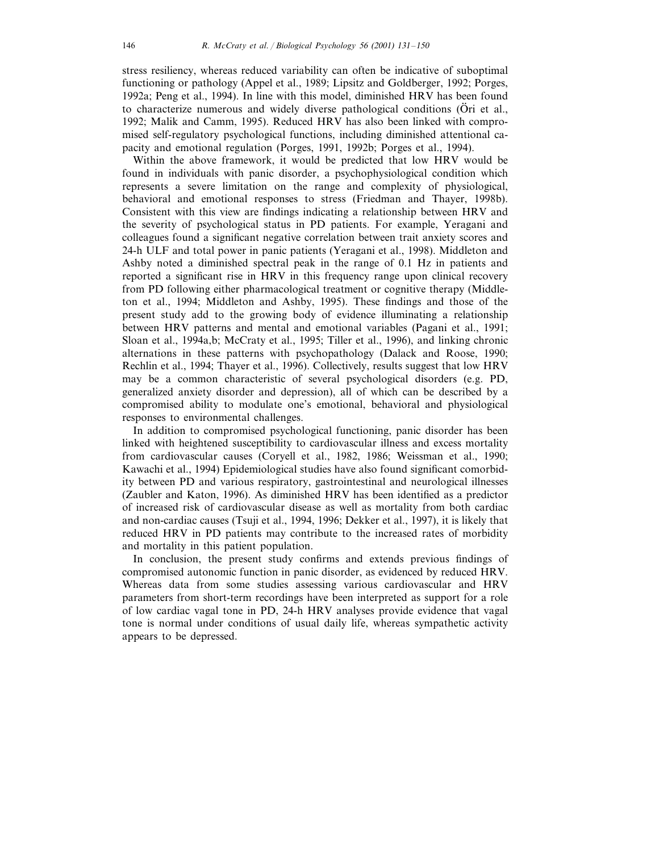stress resiliency, whereas reduced variability can often be indicative of suboptimal functioning or pathology (Appel et al., 1989; Lipsitz and Goldberger, 1992; Porges, 1992a; Peng et al., 1994). In line with this model, diminished HRV has been found to characterize numerous and widely diverse pathological conditions (Ori et al., 1992; Malik and Camm, 1995). Reduced HRV has also been linked with compromised self-regulatory psychological functions, including diminished attentional capacity and emotional regulation (Porges, 1991, 1992b; Porges et al., 1994).

Within the above framework, it would be predicted that low HRV would be found in individuals with panic disorder, a psychophysiological condition which represents a severe limitation on the range and complexity of physiological, behavioral and emotional responses to stress (Friedman and Thayer, 1998b). Consistent with this view are findings indicating a relationship between HRV and the severity of psychological status in PD patients. For example, Yeragani and colleagues found a significant negative correlation between trait anxiety scores and 24-h ULF and total power in panic patients (Yeragani et al., 1998). Middleton and Ashby noted a diminished spectral peak in the range of 0.1 Hz in patients and reported a significant rise in HRV in this frequency range upon clinical recovery from PD following either pharmacological treatment or cognitive therapy (Middleton et al., 1994; Middleton and Ashby, 1995). These findings and those of the present study add to the growing body of evidence illuminating a relationship between HRV patterns and mental and emotional variables (Pagani et al., 1991; Sloan et al., 1994a,b; McCraty et al., 1995; Tiller et al., 1996), and linking chronic alternations in these patterns with psychopathology (Dalack and Roose, 1990; Rechlin et al., 1994; Thayer et al., 1996). Collectively, results suggest that low HRV may be a common characteristic of several psychological disorders (e.g. PD, generalized anxiety disorder and depression), all of which can be described by a compromised ability to modulate one's emotional, behavioral and physiological responses to environmental challenges.

In addition to compromised psychological functioning, panic disorder has been linked with heightened susceptibility to cardiovascular illness and excess mortality from cardiovascular causes (Coryell et al., 1982, 1986; Weissman et al., 1990; Kawachi et al., 1994) Epidemiological studies have also found significant comorbidity between PD and various respiratory, gastrointestinal and neurological illnesses (Zaubler and Katon, 1996). As diminished HRV has been identified as a predictor of increased risk of cardiovascular disease as well as mortality from both cardiac and non-cardiac causes (Tsuji et al., 1994, 1996; Dekker et al., 1997), it is likely that reduced HRV in PD patients may contribute to the increased rates of morbidity and mortality in this patient population.

In conclusion, the present study confirms and extends previous findings of compromised autonomic function in panic disorder, as evidenced by reduced HRV. Whereas data from some studies assessing various cardiovascular and HRV parameters from short-term recordings have been interpreted as support for a role of low cardiac vagal tone in PD, 24-h HRV analyses provide evidence that vagal tone is normal under conditions of usual daily life, whereas sympathetic activity appears to be depressed.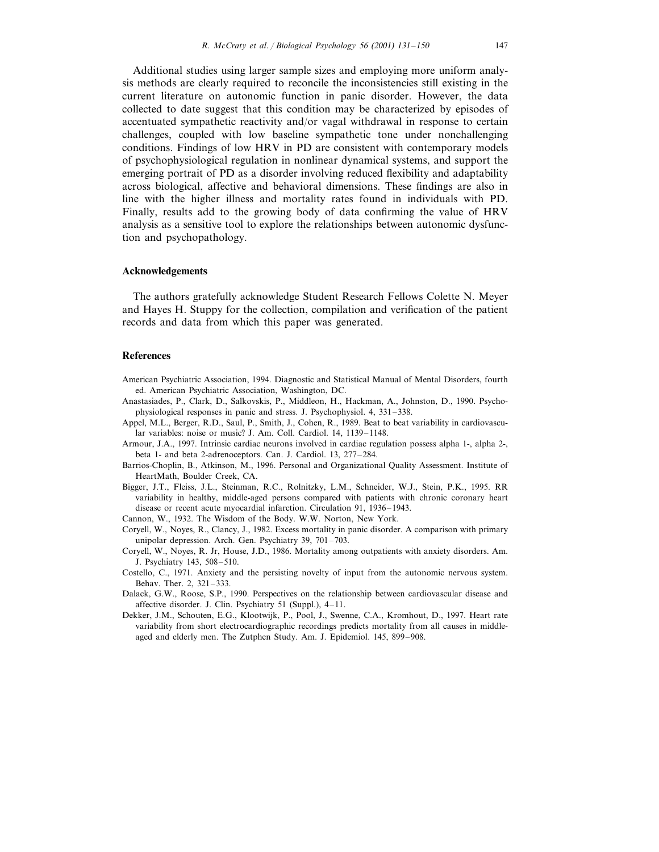Additional studies using larger sample sizes and employing more uniform analysis methods are clearly required to reconcile the inconsistencies still existing in the current literature on autonomic function in panic disorder. However, the data collected to date suggest that this condition may be characterized by episodes of accentuated sympathetic reactivity and/or vagal withdrawal in response to certain challenges, coupled with low baseline sympathetic tone under nonchallenging conditions. Findings of low HRV in PD are consistent with contemporary models of psychophysiological regulation in nonlinear dynamical systems, and support the emerging portrait of PD as a disorder involving reduced flexibility and adaptability across biological, affective and behavioral dimensions. These findings are also in line with the higher illness and mortality rates found in individuals with PD. Finally, results add to the growing body of data confirming the value of HRV analysis as a sensitive tool to explore the relationships between autonomic dysfunction and psychopathology.

#### **Acknowledgements**

The authors gratefully acknowledge Student Research Fellows Colette N. Meyer and Hayes H. Stuppy for the collection, compilation and verification of the patient records and data from which this paper was generated.

# **References**

- American Psychiatric Association, 1994. Diagnostic and Statistical Manual of Mental Disorders, fourth ed. American Psychiatric Association, Washington, DC.
- Anastasiades, P., Clark, D., Salkovskis, P., Middleon, H., Hackman, A., Johnston, D., 1990. Psychophysiological responses in panic and stress. J. Psychophysiol. 4, 331–338.
- Appel, M.L., Berger, R.D., Saul, P., Smith, J., Cohen, R., 1989. Beat to beat variability in cardiovascular variables: noise or music? J. Am. Coll. Cardiol. 14, 1139–1148.
- Armour, J.A., 1997. Intrinsic cardiac neurons involved in cardiac regulation possess alpha 1-, alpha 2-, beta 1- and beta 2-adrenoceptors. Can. J. Cardiol. 13, 277–284.
- Barrios-Choplin, B., Atkinson, M., 1996. Personal and Organizational Quality Assessment. Institute of HeartMath, Boulder Creek, CA.
- Bigger, J.T., Fleiss, J.L., Steinman, R.C., Rolnitzky, L.M., Schneider, W.J., Stein, P.K., 1995. RR variability in healthy, middle-aged persons compared with patients with chronic coronary heart disease or recent acute myocardial infarction. Circulation 91, 1936–1943.
- Cannon, W., 1932. The Wisdom of the Body. W.W. Norton, New York.
- Coryell, W., Noyes, R., Clancy, J., 1982. Excess mortality in panic disorder. A comparison with primary unipolar depression. Arch. Gen. Psychiatry 39, 701–703.
- Coryell, W., Noyes, R. Jr, House, J.D., 1986. Mortality among outpatients with anxiety disorders. Am. J. Psychiatry 143, 508–510.
- Costello, C., 1971. Anxiety and the persisting novelty of input from the autonomic nervous system. Behav. Ther. 2, 321–333.
- Dalack, G.W., Roose, S.P., 1990. Perspectives on the relationship between cardiovascular disease and affective disorder. J. Clin. Psychiatry 51 (Suppl.), 4–11.
- Dekker, J.M., Schouten, E.G., Klootwijk, P., Pool, J., Swenne, C.A., Kromhout, D., 1997. Heart rate variability from short electrocardiographic recordings predicts mortality from all causes in middleaged and elderly men. The Zutphen Study. Am. J. Epidemiol. 145, 899–908.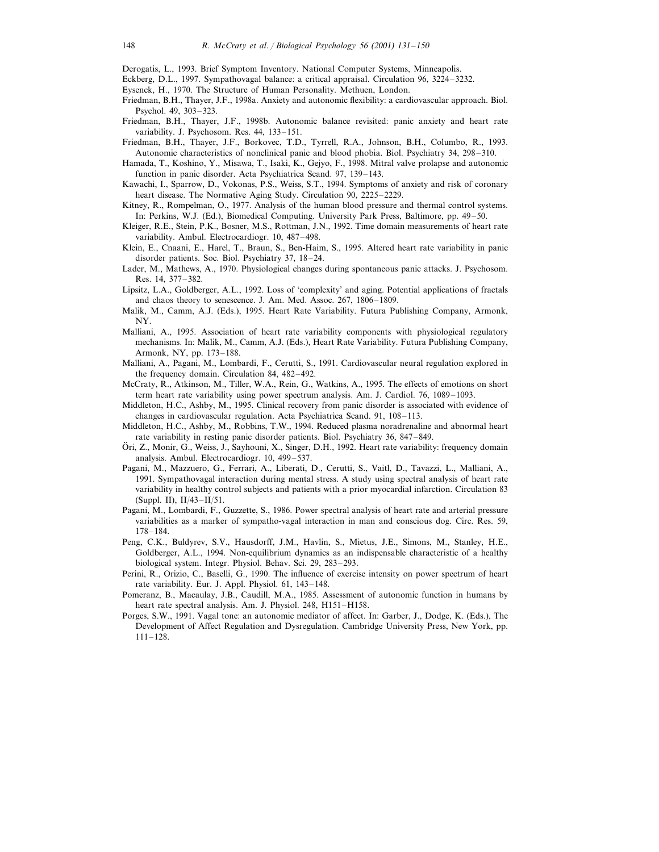Derogatis, L., 1993. Brief Symptom Inventory. National Computer Systems, Minneapolis.

- Eckberg, D.L., 1997. Sympathovagal balance: a critical appraisal. Circulation 96, 3224–3232.
- Eysenck, H., 1970. The Structure of Human Personality. Methuen, London.
- Friedman, B.H., Thayer, J.F., 1998a. Anxiety and autonomic flexibility: a cardiovascular approach. Biol. Psychol. 49, 303–323.
- Friedman, B.H., Thayer, J.F., 1998b. Autonomic balance revisited: panic anxiety and heart rate variability. J. Psychosom. Res. 44, 133–151.
- Friedman, B.H., Thayer, J.F., Borkovec, T.D., Tyrrell, R.A., Johnson, B.H., Columbo, R., 1993. Autonomic characteristics of nonclinical panic and blood phobia. Biol. Psychiatry 34, 298–310.
- Hamada, T., Koshino, Y., Misawa, T., Isaki, K., Gejyo, F., 1998. Mitral valve prolapse and autonomic function in panic disorder. Acta Psychiatrica Scand. 97, 139–143.
- Kawachi, I., Sparrow, D., Vokonas, P.S., Weiss, S.T., 1994. Symptoms of anxiety and risk of coronary heart disease. The Normative Aging Study. Circulation 90, 2225–2229.
- Kitney, R., Rompelman, O., 1977. Analysis of the human blood pressure and thermal control systems. In: Perkins, W.J. (Ed.), Biomedical Computing. University Park Press, Baltimore, pp. 49–50.
- Kleiger, R.E., Stein, P.K., Bosner, M.S., Rottman, J.N., 1992. Time domain measurements of heart rate variability. Ambul. Electrocardiogr. 10, 487–498.
- Klein, E., Cnaani, E., Harel, T., Braun, S., Ben-Haim, S., 1995. Altered heart rate variability in panic disorder patients. Soc. Biol. Psychiatry 37, 18–24.
- Lader, M., Mathews, A., 1970. Physiological changes during spontaneous panic attacks. J. Psychosom. Res. 14, 377–382.
- Lipsitz, L.A., Goldberger, A.L., 1992. Loss of 'complexity' and aging. Potential applications of fractals and chaos theory to senescence. J. Am. Med. Assoc. 267, 1806–1809.
- Malik, M., Camm, A.J. (Eds.), 1995. Heart Rate Variability. Futura Publishing Company, Armonk, NY.
- Malliani, A., 1995. Association of heart rate variability components with physiological regulatory mechanisms. In: Malik, M., Camm, A.J. (Eds.), Heart Rate Variability. Futura Publishing Company, Armonk, NY, pp. 173–188.
- Malliani, A., Pagani, M., Lombardi, F., Cerutti, S., 1991. Cardiovascular neural regulation explored in the frequency domain. Circulation 84, 482–492.
- McCraty, R., Atkinson, M., Tiller, W.A., Rein, G., Watkins, A., 1995. The effects of emotions on short term heart rate variability using power spectrum analysis. Am. J. Cardiol. 76, 1089–1093.
- Middleton, H.C., Ashby, M., 1995. Clinical recovery from panic disorder is associated with evidence of changes in cardiovascular regulation. Acta Psychiatrica Scand. 91, 108–113.
- Middleton, H.C., Ashby, M., Robbins, T.W., 1994. Reduced plasma noradrenaline and abnormal heart rate variability in resting panic disorder patients. Biol. Psychiatry 36, 847–849.
- Ori, Z., Monir, G., Weiss, J., Sayhouni, X., Singer, D.H., 1992. Heart rate variability: frequency domain analysis. Ambul. Electrocardiogr. 10, 499–537.
- Pagani, M., Mazzuero, G., Ferrari, A., Liberati, D., Cerutti, S., Vaitl, D., Tavazzi, L., Malliani, A., 1991. Sympathovagal interaction during mental stress. A study using spectral analysis of heart rate variability in healthy control subjects and patients with a prior myocardial infarction. Circulation 83 (Suppl. II), II/43–II/51.
- Pagani, M., Lombardi, F., Guzzette, S., 1986. Power spectral analysis of heart rate and arterial pressure variabilities as a marker of sympatho-vagal interaction in man and conscious dog. Circ. Res. 59, 178–184.
- Peng, C.K., Buldyrev, S.V., Hausdorff, J.M., Havlin, S., Mietus, J.E., Simons, M., Stanley, H.E., Goldberger, A.L., 1994. Non-equilibrium dynamics as an indispensable characteristic of a healthy biological system. Integr. Physiol. Behav. Sci. 29, 283–293.
- Perini, R., Orizio, C., Baselli, G., 1990. The influence of exercise intensity on power spectrum of heart rate variability. Eur. J. Appl. Physiol. 61, 143–148.
- Pomeranz, B., Macaulay, J.B., Caudill, M.A., 1985. Assessment of autonomic function in humans by heart rate spectral analysis. Am. J. Physiol. 248, H151–H158.
- Porges, S.W., 1991. Vagal tone: an autonomic mediator of affect. In: Garber, J., Dodge, K. (Eds.), The Development of Affect Regulation and Dysregulation. Cambridge University Press, New York, pp. 111–128.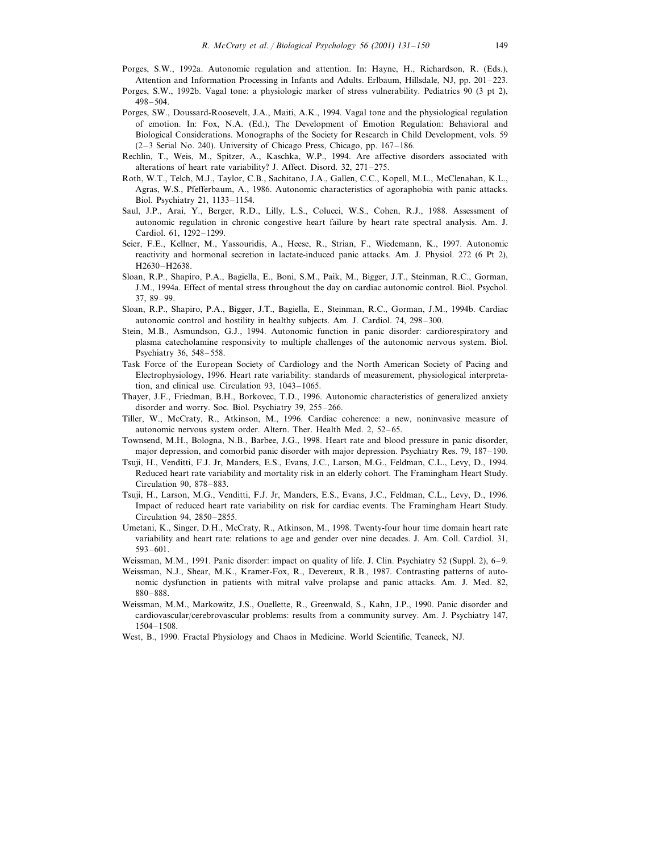- Porges, S.W., 1992a. Autonomic regulation and attention. In: Hayne, H., Richardson, R. (Eds.), Attention and Information Processing in Infants and Adults. Erlbaum, Hillsdale, NJ, pp. 201–223.
- Porges, S.W., 1992b. Vagal tone: a physiologic marker of stress vulnerability. Pediatrics 90 (3 pt 2), 498–504.
- Porges, SW., Doussard-Roosevelt, J.A., Maiti, A.K., 1994. Vagal tone and the physiological regulation of emotion. In: Fox, N.A. (Ed.), The Development of Emotion Regulation: Behavioral and Biological Considerations. Monographs of the Society for Research in Child Development, vols. 59 (2–3 Serial No. 240). University of Chicago Press, Chicago, pp. 167–186.
- Rechlin, T., Weis, M., Spitzer, A., Kaschka, W.P., 1994. Are affective disorders associated with alterations of heart rate variability? J. Affect. Disord. 32, 271–275.
- Roth, W.T., Telch, M.J., Taylor, C.B., Sachitano, J.A., Gallen, C.C., Kopell, M.L., McClenahan, K.L., Agras, W.S., Pfefferbaum, A., 1986. Autonomic characteristics of agoraphobia with panic attacks. Biol. Psychiatry 21, 1133–1154.
- Saul, J.P., Arai, Y., Berger, R.D., Lilly, L.S., Colucci, W.S., Cohen, R.J., 1988. Assessment of autonomic regulation in chronic congestive heart failure by heart rate spectral analysis. Am. J. Cardiol. 61, 1292–1299.
- Seier, F.E., Kellner, M., Yassouridis, A., Heese, R., Strian, F., Wiedemann, K., 1997. Autonomic reactivity and hormonal secretion in lactate-induced panic attacks. Am. J. Physiol. 272 (6 Pt 2), H2630–H2638.
- Sloan, R.P., Shapiro, P.A., Bagiella, E., Boni, S.M., Paik, M., Bigger, J.T., Steinman, R.C., Gorman, J.M., 1994a. Effect of mental stress throughout the day on cardiac autonomic control. Biol. Psychol. 37, 89–99.
- Sloan, R.P., Shapiro, P.A., Bigger, J.T., Bagiella, E., Steinman, R.C., Gorman, J.M., 1994b. Cardiac autonomic control and hostility in healthy subjects. Am. J. Cardiol. 74, 298–300.
- Stein, M.B., Asmundson, G.J., 1994. Autonomic function in panic disorder: cardiorespiratory and plasma catecholamine responsivity to multiple challenges of the autonomic nervous system. Biol. Psychiatry 36, 548–558.
- Task Force of the European Society of Cardiology and the North American Society of Pacing and Electrophysiology, 1996. Heart rate variability: standards of measurement, physiological interpretation, and clinical use. Circulation 93, 1043–1065.
- Thayer, J.F., Friedman, B.H., Borkovec, T.D., 1996. Autonomic characteristics of generalized anxiety disorder and worry. Soc. Biol. Psychiatry 39, 255–266.
- Tiller, W., McCraty, R., Atkinson, M., 1996. Cardiac coherence: a new, noninvasive measure of autonomic nervous system order. Altern. Ther. Health Med. 2, 52–65.
- Townsend, M.H., Bologna, N.B., Barbee, J.G., 1998. Heart rate and blood pressure in panic disorder, major depression, and comorbid panic disorder with major depression. Psychiatry Res. 79, 187–190.
- Tsuji, H., Venditti, F.J. Jr, Manders, E.S., Evans, J.C., Larson, M.G., Feldman, C.L., Levy, D., 1994. Reduced heart rate variability and mortality risk in an elderly cohort. The Framingham Heart Study. Circulation 90, 878–883.
- Tsuji, H., Larson, M.G., Venditti, F.J. Jr, Manders, E.S., Evans, J.C., Feldman, C.L., Levy, D., 1996. Impact of reduced heart rate variability on risk for cardiac events. The Framingham Heart Study. Circulation 94, 2850–2855.
- Umetani, K., Singer, D.H., McCraty, R., Atkinson, M., 1998. Twenty-four hour time domain heart rate variability and heart rate: relations to age and gender over nine decades. J. Am. Coll. Cardiol. 31, 593–601.
- Weissman, M.M., 1991. Panic disorder: impact on quality of life. J. Clin. Psychiatry 52 (Suppl. 2), 6–9.
- Weissman, N.J., Shear, M.K., Kramer-Fox, R., Devereux, R.B., 1987. Contrasting patterns of autonomic dysfunction in patients with mitral valve prolapse and panic attacks. Am. J. Med. 82, 880–888.
- Weissman, M.M., Markowitz, J.S., Ouellette, R., Greenwald, S., Kahn, J.P., 1990. Panic disorder and cardiovascular/cerebrovascular problems: results from a community survey. Am. J. Psychiatry 147, 1504–1508.
- West, B., 1990. Fractal Physiology and Chaos in Medicine. World Scientific, Teaneck, NJ.